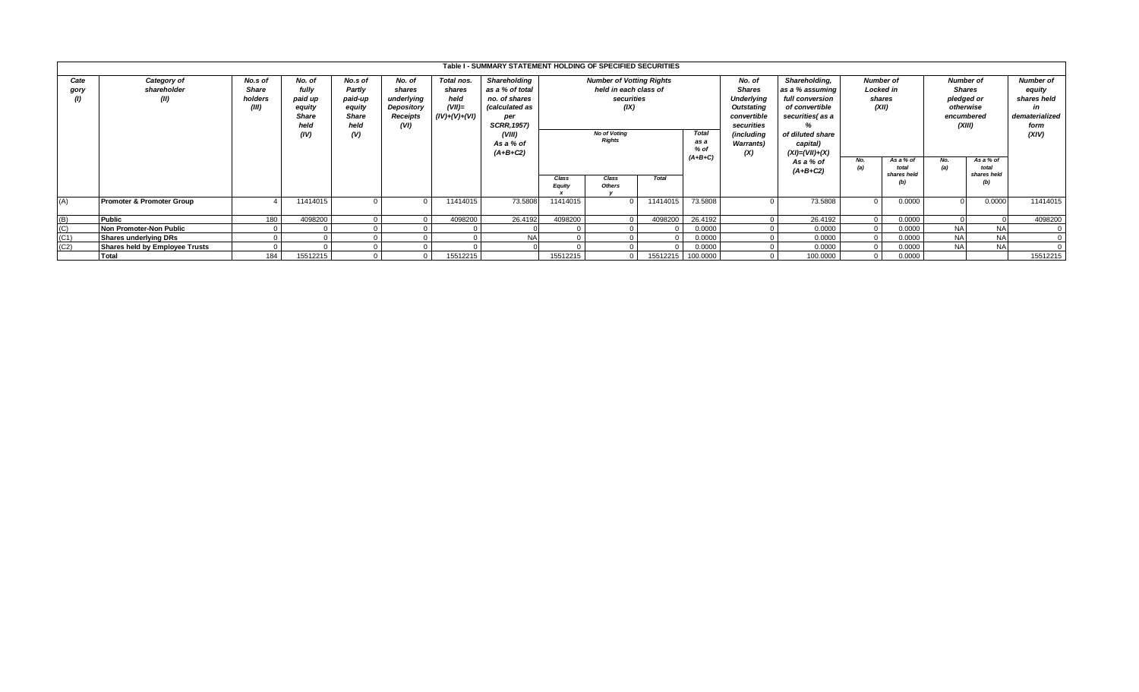|                   |                                       |                                             |                                                                      |                                                                       |                                                                  |                                                                                                                                                                                                            | Table I - SUMMARY STATEMENT HOLDING OF SPECIFIED SECURITIES |                                                                                                                        |  |                         |                                                           |  |          |     |                                          |                                    |                                          |                                                                                                                                  |                                                                                                                                                  |                                                  |  |                                                                                      |  |                                                                                    |
|-------------------|---------------------------------------|---------------------------------------------|----------------------------------------------------------------------|-----------------------------------------------------------------------|------------------------------------------------------------------|------------------------------------------------------------------------------------------------------------------------------------------------------------------------------------------------------------|-------------------------------------------------------------|------------------------------------------------------------------------------------------------------------------------|--|-------------------------|-----------------------------------------------------------|--|----------|-----|------------------------------------------|------------------------------------|------------------------------------------|----------------------------------------------------------------------------------------------------------------------------------|--------------------------------------------------------------------------------------------------------------------------------------------------|--------------------------------------------------|--|--------------------------------------------------------------------------------------|--|------------------------------------------------------------------------------------|
| Cate<br>gory      | Category of<br>shareholder<br>(II)    | No.s of<br><b>Share</b><br>holders<br>(III) | No. of<br>fully<br>paid up<br>equity<br><b>Share</b><br>held<br>(IV) | No.s of<br>Partly<br>paid-up<br>equity<br><b>Share</b><br>held<br>(V) | No. of<br>shares<br>underlying<br>Depository<br>Receipts<br>(VI) | Shareholding<br>Total nos.<br>as a % of total<br>shares<br>held<br>no. of shares<br>$(VII)=$<br><i>(calculated as</i><br>$(IV)+(V)+(VI)$<br>per<br><b>SCRR, 1957)</b><br>(VIII)<br>As a % of<br>$(A+B+C2)$ |                                                             | <b>Number of Votting Rights</b><br>held in each class of<br>securities<br>(IX)<br><b>No of Voting</b><br><b>Rights</b> |  |                         | Class<br>Total<br>Class<br><b>Equity</b><br><b>Others</b> |  |          |     |                                          | Total<br>as a<br>% of<br>$(A+B+C)$ |                                          | No. of<br><b>Shares</b><br><b>Underlying</b><br>Outstating<br>convertible<br>securities<br>(including<br><b>Warrants)</b><br>(X) | Shareholding,<br>as a % assuming<br>full conversion<br>of convertible<br>securities(as a<br>of diluted share<br>capital)<br>$(XI) = (VII) + (X)$ | <b>Number of</b><br>Locked in<br>shares<br>(XII) |  | <b>Number of</b><br><b>Shares</b><br>pledged or<br>otherwise<br>encumbered<br>(XIII) |  | <b>Number of</b><br>equity<br>shares held<br>in<br>dematerialized<br>form<br>(XIV) |
|                   |                                       |                                             |                                                                      |                                                                       |                                                                  |                                                                                                                                                                                                            |                                                             |                                                                                                                        |  | As a % of<br>$(A+B+C2)$ |                                                           |  |          | No. | As a % of<br>total<br>shares held<br>(b) | No.<br>(a)                         | As a % of<br>total<br>shares held<br>(b) |                                                                                                                                  |                                                                                                                                                  |                                                  |  |                                                                                      |  |                                                                                    |
| (A)               | <b>Promoter &amp; Promoter Group</b>  |                                             | 11414015                                                             |                                                                       |                                                                  | 11414015                                                                                                                                                                                                   | 73.5808                                                     | 11414015                                                                                                               |  | 11414015                | 73.5808                                                   |  | 73.5808  |     | 0.0000                                   |                                    | 0.0000                                   | 11414015                                                                                                                         |                                                                                                                                                  |                                                  |  |                                                                                      |  |                                                                                    |
|                   | <b>Public</b>                         | 180                                         | 4098200                                                              |                                                                       |                                                                  | 4098200                                                                                                                                                                                                    | 26.4192                                                     | 4098200                                                                                                                |  | 4098200                 | 26.4192                                                   |  | 26.4192  |     | 0.0000                                   |                                    |                                          | 4098200                                                                                                                          |                                                                                                                                                  |                                                  |  |                                                                                      |  |                                                                                    |
| $\frac{(B)}{(C)}$ | Non Promoter-Non Public               |                                             |                                                                      |                                                                       |                                                                  |                                                                                                                                                                                                            |                                                             |                                                                                                                        |  |                         | 0.0000                                                    |  | 0.0000   |     | 0.0000                                   | <b>NA</b>                          | <b>NA</b>                                |                                                                                                                                  |                                                                                                                                                  |                                                  |  |                                                                                      |  |                                                                                    |
| (C1)              | Shares underlying DRs                 |                                             |                                                                      |                                                                       |                                                                  |                                                                                                                                                                                                            | <b>NA</b>                                                   |                                                                                                                        |  |                         | 0.0000                                                    |  | 0.0000   |     | 0.0000                                   | <b>NA</b>                          | <b>NA</b>                                |                                                                                                                                  |                                                                                                                                                  |                                                  |  |                                                                                      |  |                                                                                    |
| (C2)              | <b>Shares held by Employee Trusts</b> |                                             |                                                                      |                                                                       |                                                                  |                                                                                                                                                                                                            |                                                             |                                                                                                                        |  |                         | 0.0000                                                    |  | 0.0000   |     | 0.0000                                   | <b>NA</b>                          | <b>NA</b>                                |                                                                                                                                  |                                                                                                                                                  |                                                  |  |                                                                                      |  |                                                                                    |
|                   | <b>Total</b>                          | 184                                         | 15512215                                                             |                                                                       |                                                                  | 15512215                                                                                                                                                                                                   |                                                             | 15512215                                                                                                               |  |                         | 15512215 100.0000                                         |  | 100.0000 |     | 0.0000                                   |                                    |                                          | 15512215                                                                                                                         |                                                                                                                                                  |                                                  |  |                                                                                      |  |                                                                                    |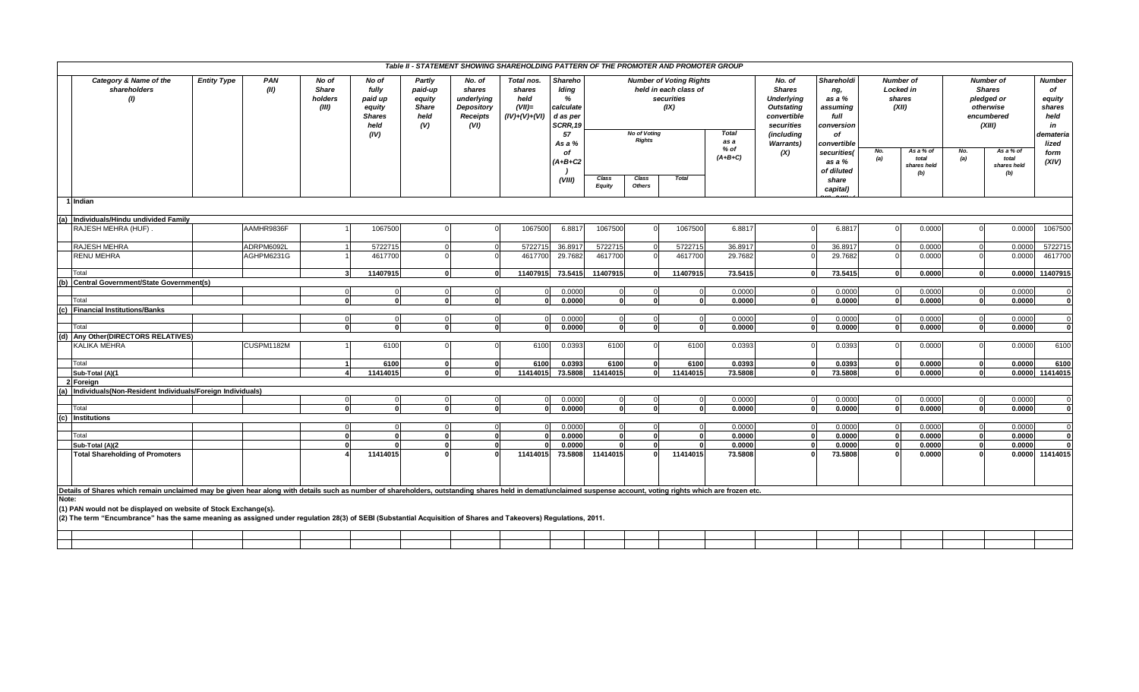|                                                                                                                                                                                                                                             |                    |            |                                           |                                                              |                                                            |                                                                         | Table II - STATEMENT SHOWING SHAREHOLDING PATTERN OF THE PROMOTER AND PROMOTER GROUP |                                                                  |                        |                                                                                                      |              |                                           |                                                                                                |                                                               |                                                         |                                          |                                                                                      |                                          |                                                                    |
|---------------------------------------------------------------------------------------------------------------------------------------------------------------------------------------------------------------------------------------------|--------------------|------------|-------------------------------------------|--------------------------------------------------------------|------------------------------------------------------------|-------------------------------------------------------------------------|--------------------------------------------------------------------------------------|------------------------------------------------------------------|------------------------|------------------------------------------------------------------------------------------------------|--------------|-------------------------------------------|------------------------------------------------------------------------------------------------|---------------------------------------------------------------|---------------------------------------------------------|------------------------------------------|--------------------------------------------------------------------------------------|------------------------------------------|--------------------------------------------------------------------|
| Category & Name of the<br>shareholders<br>$\omega$                                                                                                                                                                                          | <b>Entity Type</b> |            | No of<br><b>Share</b><br>holders<br>(III) | No of<br>fully<br>paid up<br>equity<br><b>Shares</b><br>held | Partly<br>paid-up<br>equity<br><b>Share</b><br>held<br>(V) | No. of<br>shares<br>underlying<br>Depository<br><b>Receipts</b><br>(VI) | Total nos.<br>shares<br>held<br>$(VII)=$<br>$(IV)+(V)+(VI)$                          | Shareho<br>Iding<br>%<br>calculate<br>d as per<br>SCRR, 19<br>57 |                        | <b>Number of Voting Rights</b><br>held in each class of<br>securities<br>(IX)<br><b>No of Voting</b> |              |                                           | No. of<br><b>Shares</b><br><b>Underlying</b><br><b>Outstating</b><br>convertible<br>securities | Shareholdi<br>ng,<br>as a %<br>assuming<br>full<br>conversion | <b>Number of</b><br><b>Locked in</b><br>shares<br>(XII) |                                          | <b>Number of</b><br><b>Shares</b><br>pledged or<br>otherwise<br>encumbered<br>(XIII) |                                          | <b>Number</b><br>of<br>equity<br>shares<br>held<br>in<br>demateria |
|                                                                                                                                                                                                                                             |                    |            |                                           | (IV)                                                         |                                                            |                                                                         |                                                                                      | As a %<br>of<br>(A+B+C2                                          |                        | <b>Rights</b>                                                                                        |              | <b>Total</b><br>as a<br>% of<br>$(A+B+C)$ | (including<br><b>Warrants)</b><br>(X)                                                          | of<br>convertible<br>securities(<br>as a %<br>of diluted      | No.<br>(a)                                              | As a % of<br>total<br>shares held<br>(b) | No.<br> a                                                                            | As a % of<br>total<br>shares held<br>(b) | lized<br>form<br>(XIV)                                             |
|                                                                                                                                                                                                                                             |                    |            |                                           |                                                              |                                                            |                                                                         |                                                                                      | (VIII)                                                           | Class<br><b>Equity</b> | Class<br><b>Others</b>                                                                               | <b>Total</b> |                                           |                                                                                                | share<br>capital)                                             |                                                         |                                          |                                                                                      |                                          |                                                                    |
| l Indian                                                                                                                                                                                                                                    |                    |            |                                           |                                                              |                                                            |                                                                         |                                                                                      |                                                                  |                        |                                                                                                      |              |                                           |                                                                                                |                                                               |                                                         |                                          |                                                                                      |                                          |                                                                    |
| (a) Individuals/Hindu undivided Family                                                                                                                                                                                                      |                    |            |                                           |                                                              |                                                            |                                                                         |                                                                                      |                                                                  |                        |                                                                                                      |              |                                           |                                                                                                |                                                               |                                                         |                                          |                                                                                      |                                          |                                                                    |
| RAJESH MEHRA (HUF)                                                                                                                                                                                                                          |                    | AAMHR9836F |                                           | 1067500                                                      |                                                            |                                                                         | 1067500                                                                              | 6.8817                                                           | 1067500                |                                                                                                      | 1067500      | 6.8817                                    |                                                                                                | 6.8817                                                        |                                                         | 0.0000                                   |                                                                                      | 0.0000                                   | 1067500                                                            |
| RAJESH MEHRA                                                                                                                                                                                                                                |                    | ADRPM6092L |                                           | 5722715                                                      | $\Omega$                                                   |                                                                         | 572271                                                                               | 36.891                                                           | 5722715                |                                                                                                      | 5722715      | 36.8917                                   |                                                                                                | 36.8917                                                       |                                                         | 0.0000                                   |                                                                                      | 0.0000                                   | 5722715                                                            |
| RENU MEHRA                                                                                                                                                                                                                                  |                    | AGHPM6231G |                                           | 4617700                                                      |                                                            |                                                                         | 4617700                                                                              | 29.7682                                                          | 4617700                |                                                                                                      | 4617700      | 29.7682                                   |                                                                                                | 29.7682                                                       |                                                         | 0.0000                                   |                                                                                      | 0.0000                                   | 4617700                                                            |
| Total                                                                                                                                                                                                                                       |                    |            | $\mathbf{3}$                              | 11407915                                                     | $\mathbf{0}$                                               | $\mathbf{o}$                                                            | 11407915                                                                             | 73.5415                                                          | 11407915               | $\Omega$                                                                                             | 11407915     | 73.5415                                   | $\Omega$                                                                                       | 73.5415                                                       |                                                         | 0.0000                                   | $\mathbf{0}$                                                                         |                                          | 0.0000 11407915                                                    |
| Central Government/State Government(s)<br>(b                                                                                                                                                                                                |                    |            |                                           |                                                              |                                                            |                                                                         |                                                                                      |                                                                  | $\Omega$               |                                                                                                      |              |                                           |                                                                                                | 0.0000                                                        |                                                         | 0.0000                                   |                                                                                      |                                          |                                                                    |
| Total                                                                                                                                                                                                                                       |                    |            |                                           | $\Omega$<br>$\Omega$                                         | <b>n</b>                                                   | $\Omega$<br>$\mathbf{0}$                                                |                                                                                      | 0.0000<br>0.0000                                                 |                        |                                                                                                      | $\Omega$     | 0.0000<br>0.0000                          |                                                                                                | 0.0000                                                        |                                                         | 0.0000                                   | 0                                                                                    | 0.0000<br>0.0000                         |                                                                    |
| (c) Financial Institutions/Banks                                                                                                                                                                                                            |                    |            |                                           |                                                              |                                                            |                                                                         |                                                                                      |                                                                  |                        |                                                                                                      |              |                                           |                                                                                                |                                                               |                                                         |                                          |                                                                                      |                                          |                                                                    |
|                                                                                                                                                                                                                                             |                    |            | $\Omega$                                  | $\Omega$                                                     | $\overline{0}$                                             | $\overline{0}$                                                          |                                                                                      | 0.0000                                                           | $\Omega$               | $\Omega$                                                                                             | $\Omega$     | 0.0000                                    | $\Omega$                                                                                       | 0.0000                                                        | - C                                                     | 0.0000                                   |                                                                                      | 0.0000                                   |                                                                    |
| Total                                                                                                                                                                                                                                       |                    |            | $\mathbf{0}$                              | $\Omega$                                                     | 0                                                          | $\mathbf{o}$                                                            |                                                                                      | 0.0000                                                           | $\Omega$               | $\Omega$                                                                                             | $\Omega$     | 0.0000                                    | 0                                                                                              | 0.0000                                                        |                                                         | 0.0000<br>n                              | οI                                                                                   | 0.0000                                   |                                                                    |
| (d) Any Other (DIRECTORS RELATIVES)                                                                                                                                                                                                         |                    |            |                                           |                                                              |                                                            |                                                                         |                                                                                      |                                                                  |                        |                                                                                                      |              |                                           |                                                                                                |                                                               |                                                         |                                          |                                                                                      |                                          |                                                                    |
| KALIKA MEHRA                                                                                                                                                                                                                                |                    | CUSPM1182M |                                           | 6100                                                         |                                                            |                                                                         | 6100                                                                                 | 0.0393                                                           | 6100                   |                                                                                                      | 6100         | 0.0393                                    |                                                                                                | 0.0393                                                        |                                                         | 0.0000                                   |                                                                                      | 0.0000                                   | 6100                                                               |
| Total                                                                                                                                                                                                                                       |                    |            | $\mathbf{1}$                              | 6100                                                         | $\mathbf{0}$<br>ΩI                                         | $\mathbf{o}$                                                            | 6100                                                                                 | 0.0393                                                           | 6100                   | $\Omega$<br>$\Omega$                                                                                 | 6100         | 0.0393                                    | $\Omega$                                                                                       | 0.0393                                                        |                                                         | 0.0000                                   | $\mathbf{0}$<br>0                                                                    | 0.0000                                   | 6100                                                               |
| Sub-Total (A)(1<br>2 Foreign                                                                                                                                                                                                                |                    |            |                                           | 11414015                                                     |                                                            | $\mathbf{0}$                                                            | 11414015                                                                             | 73.5808                                                          | 11414015               |                                                                                                      | 11414015     | 73.5808                                   | $\mathbf{0}$                                                                                   | 73.5808                                                       |                                                         | 0.0000                                   |                                                                                      |                                          | 0.0000 11414015                                                    |
| Individuals(Non-Resident Individuals/Foreign Individuals)                                                                                                                                                                                   |                    |            |                                           |                                                              |                                                            |                                                                         |                                                                                      |                                                                  |                        |                                                                                                      |              |                                           |                                                                                                |                                                               |                                                         |                                          |                                                                                      |                                          |                                                                    |
|                                                                                                                                                                                                                                             |                    |            | $\Omega$                                  | $\Omega$                                                     | $\Omega$                                                   | $\Omega$                                                                |                                                                                      | 0.0000                                                           | $\Omega$               |                                                                                                      | $\Omega$     | 0.0000                                    | $\Omega$                                                                                       | 0.0000                                                        |                                                         | 0.0000                                   |                                                                                      | 0.0000                                   |                                                                    |
| Total                                                                                                                                                                                                                                       |                    |            | $\mathbf{o}$                              |                                                              |                                                            | $\mathbf{0}$                                                            |                                                                                      | 0.0000                                                           | $\Omega$               |                                                                                                      | $\mathbf{0}$ | 0.0000                                    | $\Omega$                                                                                       | 0.0000                                                        |                                                         | 0.0000                                   | 0                                                                                    | 0.0000                                   |                                                                    |
| (c) Institutions                                                                                                                                                                                                                            |                    |            |                                           |                                                              |                                                            |                                                                         |                                                                                      |                                                                  |                        |                                                                                                      |              |                                           |                                                                                                |                                                               |                                                         |                                          |                                                                                      |                                          |                                                                    |
|                                                                                                                                                                                                                                             |                    |            |                                           | $\Omega$<br>$\mathbf{r}$                                     | $\Omega$<br>$\Omega$                                       |                                                                         |                                                                                      | 0.0000                                                           | $\Omega$<br>$\Omega$   | ΩI                                                                                                   | $\mathbf{r}$ | 0.0000                                    |                                                                                                | 0.0000<br>0.0000                                              |                                                         | 0.0000                                   |                                                                                      | 0.0000<br>0.0000                         |                                                                    |
| Total<br>Sub-Total (A)(2                                                                                                                                                                                                                    |                    |            | $\mathbf{0}$<br>0                         |                                                              | $\Omega$                                                   | $\mathbf{0}$<br>$\mathbf{0}$                                            |                                                                                      | 0.0000<br>0.0000                                                 |                        |                                                                                                      |              | 0.0000<br>0.0000                          |                                                                                                | 0.0000                                                        |                                                         | 0.0000<br>0.0000                         | $\Omega$<br>ŋ                                                                        | 0.0000                                   |                                                                    |
| <b>Total Shareholding of Promoters</b>                                                                                                                                                                                                      |                    |            |                                           | 11414015                                                     |                                                            |                                                                         | 11414015                                                                             | 73.5808                                                          | 11414015               |                                                                                                      | 11414015     | 73.5808                                   |                                                                                                | 73.5808                                                       |                                                         | 0.0000                                   |                                                                                      |                                          | 0.0000 11414015                                                    |
| Details of Shares which remain unclaimed may be given hear along with details such as number of shareholders, outstanding shares held in demat/unclaimed suspense account, voting rights which are frozen etc.                              |                    |            |                                           |                                                              |                                                            |                                                                         |                                                                                      |                                                                  |                        |                                                                                                      |              |                                           |                                                                                                |                                                               |                                                         |                                          |                                                                                      |                                          |                                                                    |
| Note:<br>(1) PAN would not be displayed on website of Stock Exchange(s).<br>(2) The term "Encumbrance" has the same meaning as assigned under regulation 28(3) of SEBI (Substantial Acquisition of Shares and Takeovers) Regulations, 2011. |                    |            |                                           |                                                              |                                                            |                                                                         |                                                                                      |                                                                  |                        |                                                                                                      |              |                                           |                                                                                                |                                                               |                                                         |                                          |                                                                                      |                                          |                                                                    |
|                                                                                                                                                                                                                                             |                    |            |                                           |                                                              |                                                            |                                                                         |                                                                                      |                                                                  |                        |                                                                                                      |              |                                           |                                                                                                |                                                               |                                                         |                                          |                                                                                      |                                          |                                                                    |
|                                                                                                                                                                                                                                             |                    |            |                                           |                                                              |                                                            |                                                                         |                                                                                      |                                                                  |                        |                                                                                                      |              |                                           |                                                                                                |                                                               |                                                         |                                          |                                                                                      |                                          |                                                                    |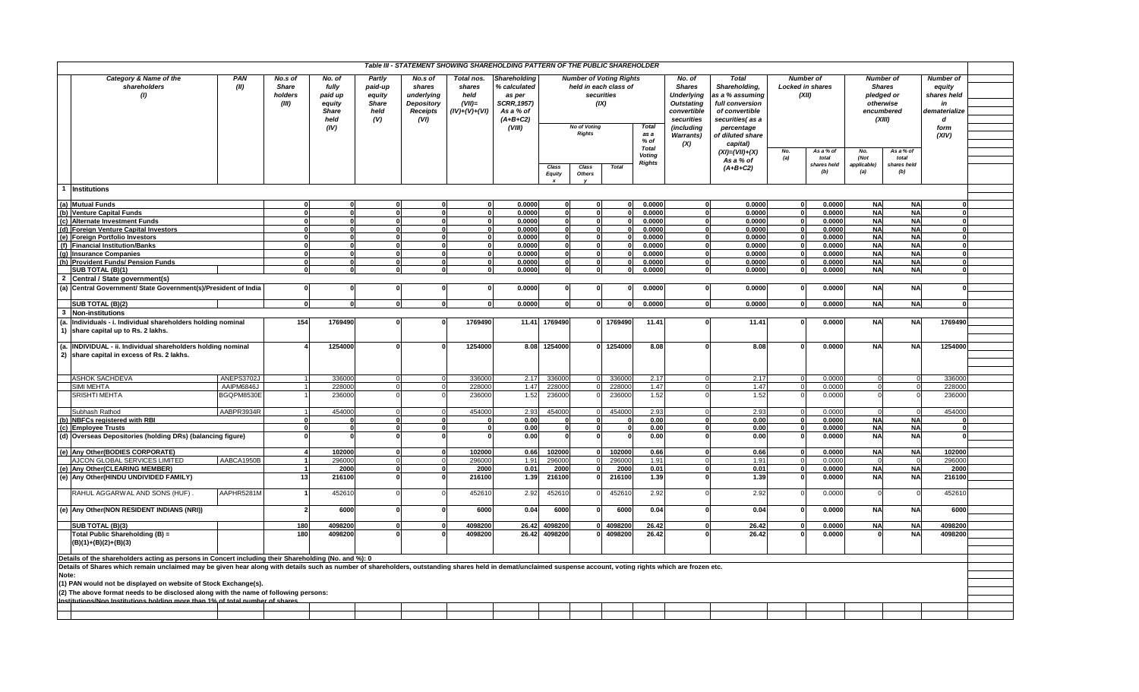|       |                                                                                                                                                                                                                |                   |                                             |                                                                      |                                                            |                                                                   | Table III - STATEMENT SHOWING SHAREHOLDING PATTERN OF THE PUBLIC SHAREHOLDER |                                                                                                          |                        |                                      |                                                                               |                         |                                                                                                                                   |                                                                                                                                            |              |                                                      |                                                                                      |                        |                                                                                        |  |
|-------|----------------------------------------------------------------------------------------------------------------------------------------------------------------------------------------------------------------|-------------------|---------------------------------------------|----------------------------------------------------------------------|------------------------------------------------------------|-------------------------------------------------------------------|------------------------------------------------------------------------------|----------------------------------------------------------------------------------------------------------|------------------------|--------------------------------------|-------------------------------------------------------------------------------|-------------------------|-----------------------------------------------------------------------------------------------------------------------------------|--------------------------------------------------------------------------------------------------------------------------------------------|--------------|------------------------------------------------------|--------------------------------------------------------------------------------------|------------------------|----------------------------------------------------------------------------------------|--|
|       | Category & Name of the<br>PAN<br>(II)<br>shareholders<br>(1)                                                                                                                                                   |                   | No.s of<br><b>Share</b><br>holders<br>(III) | No. of<br>fully<br>paid up<br>equity<br><b>Share</b><br>held<br>(IV) | Partly<br>paid-up<br>equity<br><b>Share</b><br>held<br>(V) | No.s of<br>shares<br>underlying<br>Depository<br>Receipts<br>(VI) | Total nos.<br>shares<br>held<br>$(VII)=$<br>$(IV)+(V)+(VI)$                  | <b>Shareholding</b><br>% calculated<br>as per<br><b>SCRR, 1957)</b><br>As a % of<br>$(A+B+C2)$<br>(VIII) |                        | <b>No of Voting</b><br><b>Rights</b> | <b>Number of Voting Rights</b><br>held in each class of<br>securities<br>(IX) | <b>Total</b><br>as a    | No. of<br><b>Shares</b><br><b>Underlying</b><br><b>Outstating</b><br>convertible<br>securities<br>(including<br><b>Warrants</b> ) | <b>Total</b><br>Shareholding,<br>as a % assuming<br>full conversion<br>of convertible<br>securities(as a<br>percentage<br>of diluted share |              | <b>Number of</b><br><b>Locked in shares</b><br>(XII) | <b>Number of</b><br><b>Shares</b><br>pledged or<br>otherwise<br>encumbered<br>(XIII) |                        | <b>Number of</b><br>equity<br>shares held<br>in<br>dematerialize<br>d<br>form<br>(XIV) |  |
|       |                                                                                                                                                                                                                |                   |                                             |                                                                      |                                                            |                                                                   |                                                                              |                                                                                                          |                        |                                      |                                                                               | % of                    | (X)                                                                                                                               | capital)                                                                                                                                   |              |                                                      |                                                                                      |                        |                                                                                        |  |
|       |                                                                                                                                                                                                                |                   |                                             |                                                                      |                                                            |                                                                   |                                                                              |                                                                                                          |                        |                                      |                                                                               | <b>Total</b>            |                                                                                                                                   | $(XI) = (VII) + (X)$                                                                                                                       | No.          | As a % of                                            | No.                                                                                  | As a % of              |                                                                                        |  |
|       |                                                                                                                                                                                                                |                   |                                             |                                                                      |                                                            |                                                                   |                                                                              |                                                                                                          |                        |                                      |                                                                               | Voting<br><b>Rights</b> |                                                                                                                                   | As a % of                                                                                                                                  | (a)          | total                                                | (Not                                                                                 | total                  |                                                                                        |  |
|       |                                                                                                                                                                                                                |                   |                                             |                                                                      |                                                            |                                                                   |                                                                              |                                                                                                          | Class<br><b>Equity</b> | Class<br><b>Others</b>               | <b>Total</b>                                                                  |                         |                                                                                                                                   | $(A+B+C2)$                                                                                                                                 |              | shares held<br>(b)                                   | applicable<br>(a)                                                                    | shares held<br>(b)     |                                                                                        |  |
|       | 1 Institutions                                                                                                                                                                                                 |                   |                                             |                                                                      |                                                            |                                                                   |                                                                              |                                                                                                          |                        |                                      |                                                                               |                         |                                                                                                                                   |                                                                                                                                            |              |                                                      |                                                                                      |                        |                                                                                        |  |
|       | (a) Mutual Funds                                                                                                                                                                                               |                   |                                             |                                                                      |                                                            |                                                                   |                                                                              | 0.0000                                                                                                   |                        |                                      |                                                                               | 0.0000                  |                                                                                                                                   | 0.0000                                                                                                                                     |              | 0.0000                                               | <b>NA</b>                                                                            | <b>NA</b>              |                                                                                        |  |
|       | (b) Venture Capital Funds                                                                                                                                                                                      |                   | $\Omega$                                    |                                                                      |                                                            | <sup>0</sup>                                                      | $\Omega$                                                                     | 0.0000                                                                                                   | $\mathbf{0}$           |                                      |                                                                               | 0.0000                  | $\Omega$                                                                                                                          | 0.0000                                                                                                                                     |              | 0.0000                                               | <b>NA</b>                                                                            | <b>NA</b>              |                                                                                        |  |
|       | (c) Alternate Investment Funds                                                                                                                                                                                 |                   |                                             |                                                                      |                                                            | $\Omega$                                                          | 0                                                                            | 0.0000                                                                                                   | $\Omega$               | O                                    |                                                                               | 0.0000                  | 0                                                                                                                                 | 0.0000                                                                                                                                     | $\mathbf{0}$ | 0.0000                                               | <b>NA</b>                                                                            | <b>NA</b>              |                                                                                        |  |
|       | (d) Foreign Venture Capital Investors                                                                                                                                                                          |                   | $\Omega$                                    |                                                                      |                                                            | n                                                                 | 0l                                                                           | 0.0000                                                                                                   | ΩI                     | U                                    |                                                                               | 0.0000                  | ΩI                                                                                                                                | 0.0000                                                                                                                                     | n            | 0.0000                                               | <b>NA</b>                                                                            | <b>NA</b>              | $\Omega$                                                                               |  |
|       | (e) Foreign Portfolio Investors                                                                                                                                                                                |                   | $\Omega$                                    |                                                                      |                                                            | <b>n</b>                                                          | n١                                                                           | 0.0000                                                                                                   | 0.                     |                                      |                                                                               | 0.0000                  | 0                                                                                                                                 | 0.0000                                                                                                                                     |              | 0.0000                                               | <b>NA</b>                                                                            | <b>NA</b>              | $\Omega$                                                                               |  |
|       | (f) Financial Institution/Banks                                                                                                                                                                                |                   | $\Omega$                                    |                                                                      |                                                            | <sup>0</sup>                                                      |                                                                              | 0.0000                                                                                                   | $\mathbf{0}$           |                                      |                                                                               | 0.0000                  | 0                                                                                                                                 | 0.0000                                                                                                                                     |              | 0.0000                                               | <b>NA</b>                                                                            | <b>NA</b>              |                                                                                        |  |
|       | (g) Insurance Companies                                                                                                                                                                                        |                   | $\Omega$                                    |                                                                      |                                                            | 0                                                                 | ΩI                                                                           | 0.0000                                                                                                   | $\mathbf{0}$           |                                      |                                                                               | 0.0000                  | 0                                                                                                                                 | 0.0000                                                                                                                                     |              | 0.0000                                               | <b>NA</b>                                                                            | <b>NA</b>              |                                                                                        |  |
|       | (h) Provident Funds/ Pension Funds                                                                                                                                                                             |                   | $\Omega$                                    |                                                                      |                                                            | $\Omega$                                                          | 0                                                                            | 0.0000                                                                                                   | $\Omega$               |                                      |                                                                               | 0.0000                  | 0                                                                                                                                 | 0.0000                                                                                                                                     |              | 0.0000                                               | <b>NA</b>                                                                            | <b>NA</b>              | $\Omega$                                                                               |  |
|       | SUB TOTAL (B)(1)                                                                                                                                                                                               |                   | $\Omega$                                    | $\Omega$                                                             |                                                            | ΩI                                                                | οI                                                                           | 0.0000                                                                                                   | $\mathbf{0}$           | 0                                    | O                                                                             | 0.0000                  | οI                                                                                                                                | 0.0000                                                                                                                                     | $\Omega$     | 0.0000                                               | <b>NA</b>                                                                            | <b>NA</b>              | $\Omega$                                                                               |  |
|       | 2 Central / State government(s)                                                                                                                                                                                |                   |                                             |                                                                      |                                                            |                                                                   |                                                                              |                                                                                                          |                        |                                      |                                                                               |                         |                                                                                                                                   |                                                                                                                                            |              |                                                      |                                                                                      |                        |                                                                                        |  |
|       | (a) Central Government/ State Government(s)/President of India                                                                                                                                                 |                   | $\mathbf{0}$                                |                                                                      |                                                            | 0                                                                 |                                                                              | 0.0000                                                                                                   |                        |                                      |                                                                               | 0.0000                  | 0                                                                                                                                 | 0.0000                                                                                                                                     | - 0          | 0.0000                                               | <b>NA</b>                                                                            | <b>NA</b>              |                                                                                        |  |
|       | SUB TOTAL (B)(2)                                                                                                                                                                                               |                   | $\Omega$                                    |                                                                      |                                                            |                                                                   | οI<br>0                                                                      | 0.0000                                                                                                   | ΩL                     |                                      |                                                                               | 0.0000                  | 0I                                                                                                                                | 0.0000                                                                                                                                     | n            | 0.0000                                               | <b>NA</b>                                                                            | <b>NA</b>              |                                                                                        |  |
|       | 3 Non-institutions                                                                                                                                                                                             |                   |                                             |                                                                      |                                                            |                                                                   |                                                                              |                                                                                                          |                        |                                      |                                                                               |                         |                                                                                                                                   |                                                                                                                                            |              |                                                      |                                                                                      |                        |                                                                                        |  |
|       |                                                                                                                                                                                                                |                   | 154                                         | 1769490                                                              |                                                            | $\Omega$                                                          | 1769490                                                                      |                                                                                                          | 1769490                |                                      | 1769490                                                                       |                         |                                                                                                                                   |                                                                                                                                            |              |                                                      |                                                                                      | <b>NA</b>              | 1769490                                                                                |  |
|       | (a. Individuals - i. Individual shareholders holding nominal<br>share capital up to Rs. 2 lakhs.                                                                                                               |                   |                                             |                                                                      |                                                            |                                                                   |                                                                              | 11.41                                                                                                    |                        |                                      |                                                                               | 11.41                   |                                                                                                                                   | 11.41                                                                                                                                      |              | 0.0000                                               | <b>NA</b>                                                                            |                        |                                                                                        |  |
|       |                                                                                                                                                                                                                |                   |                                             |                                                                      |                                                            |                                                                   |                                                                              |                                                                                                          |                        |                                      |                                                                               |                         |                                                                                                                                   |                                                                                                                                            |              |                                                      |                                                                                      |                        |                                                                                        |  |
|       | (a. INDIVIDUAL - ii. Individual shareholders holding nominal                                                                                                                                                   |                   |                                             | 1254000                                                              |                                                            |                                                                   | 1254000                                                                      | 8.08                                                                                                     | 1254000                |                                      | 1254000                                                                       | 8.08                    |                                                                                                                                   | 8.08                                                                                                                                       |              | 0.0000                                               | <b>NA</b>                                                                            | <b>NA</b>              | 1254000                                                                                |  |
|       | 2) share capital in excess of Rs. 2 lakhs.                                                                                                                                                                     |                   |                                             |                                                                      |                                                            |                                                                   |                                                                              |                                                                                                          |                        |                                      |                                                                               |                         |                                                                                                                                   |                                                                                                                                            |              |                                                      |                                                                                      |                        |                                                                                        |  |
|       |                                                                                                                                                                                                                |                   |                                             |                                                                      |                                                            |                                                                   |                                                                              |                                                                                                          |                        |                                      |                                                                               |                         |                                                                                                                                   |                                                                                                                                            |              |                                                      |                                                                                      |                        |                                                                                        |  |
|       |                                                                                                                                                                                                                |                   |                                             |                                                                      |                                                            |                                                                   |                                                                              |                                                                                                          |                        |                                      |                                                                               |                         |                                                                                                                                   |                                                                                                                                            |              |                                                      |                                                                                      |                        |                                                                                        |  |
|       | <b>ASHOK SACHDEVA</b>                                                                                                                                                                                          | <b>ANEPS3702.</b> |                                             | 336000                                                               |                                                            | $\Omega$                                                          | 336000                                                                       | 2.17                                                                                                     | 336000                 |                                      | 33600                                                                         | 2.17                    |                                                                                                                                   | 2.17                                                                                                                                       |              | 0.0000                                               |                                                                                      | $\Omega$               | 336000                                                                                 |  |
|       | <b>SIMI MEHTA</b>                                                                                                                                                                                              | AAIPM6846J        |                                             | 228000                                                               |                                                            |                                                                   | 228000                                                                       | 1.47                                                                                                     | 228000                 |                                      | 22800                                                                         | 1.47                    |                                                                                                                                   | 1.47                                                                                                                                       |              | 0.0000                                               |                                                                                      |                        | 228000                                                                                 |  |
|       | SRISHTI MEHTA                                                                                                                                                                                                  | BGQPM8530E        |                                             | 236000                                                               |                                                            |                                                                   | 236000                                                                       | 1.52                                                                                                     | 236000                 |                                      | 23600                                                                         | 1.52                    |                                                                                                                                   | 1.52                                                                                                                                       |              | 0.0000                                               |                                                                                      |                        | 236000                                                                                 |  |
|       | Subhash Rathod                                                                                                                                                                                                 | AABPR3934R        |                                             | 454000                                                               |                                                            | $\Omega$                                                          | 454000                                                                       | 2.93                                                                                                     | 454000                 |                                      | 454000                                                                        | 2.93                    |                                                                                                                                   | 2.93                                                                                                                                       |              | 0.0000                                               |                                                                                      | $\Omega$               | 454000                                                                                 |  |
|       | (b) NBFCs registered with RBI                                                                                                                                                                                  |                   |                                             |                                                                      |                                                            | <b>n</b>                                                          |                                                                              | 0.00                                                                                                     |                        |                                      |                                                                               | 0.00                    |                                                                                                                                   | 0.00                                                                                                                                       |              | 0.0000                                               | <b>NA</b>                                                                            | <b>NA</b>              |                                                                                        |  |
|       | (c) Employee Trusts                                                                                                                                                                                            |                   | $\Omega$                                    |                                                                      |                                                            | <sub>0</sub>                                                      |                                                                              | 0.00                                                                                                     | $\Omega$               |                                      |                                                                               | 0.00                    |                                                                                                                                   | 0.00                                                                                                                                       |              | 0.0000                                               | <b>NA</b>                                                                            | <b>NA</b>              |                                                                                        |  |
|       | (d) Overseas Depositories (holding DRs) (balancing figure)                                                                                                                                                     |                   |                                             |                                                                      |                                                            |                                                                   |                                                                              | 0.00                                                                                                     |                        |                                      |                                                                               | 0.00                    |                                                                                                                                   | 0.00                                                                                                                                       |              | 0.0000                                               | <b>NA</b>                                                                            | <b>NA</b>              |                                                                                        |  |
|       |                                                                                                                                                                                                                |                   |                                             |                                                                      |                                                            |                                                                   |                                                                              |                                                                                                          |                        |                                      |                                                                               |                         |                                                                                                                                   |                                                                                                                                            |              |                                                      |                                                                                      |                        |                                                                                        |  |
|       | (e) Any Other (BODIES CORPORATE)                                                                                                                                                                               |                   |                                             | 102000                                                               |                                                            | $\Omega$<br>$\Omega$                                              | 102000                                                                       | 0.66                                                                                                     | 102000                 | O                                    | 102000                                                                        | 0.66                    | 0                                                                                                                                 | 0.66                                                                                                                                       | $\Omega$     | 0.0000                                               | <b>NA</b><br>$\Omega$                                                                | <b>NA</b><br>$\Omega$  | 102000                                                                                 |  |
|       | AJCON GLOBAL SERVICES LIMITED                                                                                                                                                                                  | AABCA1950B        |                                             | 296000                                                               |                                                            |                                                                   | 296000                                                                       | 1.91                                                                                                     | 296000                 |                                      | 29600                                                                         | 1.91                    | $\Omega$                                                                                                                          | 1.91                                                                                                                                       |              | 0.0000                                               |                                                                                      |                        | 296000                                                                                 |  |
|       | (e) Any Other (CLEARING MEMBER)<br>(e) Any Other(HINDU UNDIVIDED FAMILY)                                                                                                                                       |                   | 13                                          | 2000<br>216100                                                       |                                                            | $\bf{0}$<br>$\Omega$                                              | 2000<br>216100                                                               | 0.01                                                                                                     | 2000<br>216100         |                                      | 2000<br>216100                                                                | 0.01<br>1.39            |                                                                                                                                   | 0.01<br>1.39                                                                                                                               |              | 0.0000<br>0.0000                                     | <b>NA</b><br><b>NA</b>                                                               | <b>NA</b><br><b>NA</b> | 2000<br>216100                                                                         |  |
|       |                                                                                                                                                                                                                |                   |                                             |                                                                      |                                                            |                                                                   |                                                                              | 1.39                                                                                                     |                        |                                      |                                                                               |                         |                                                                                                                                   |                                                                                                                                            |              |                                                      |                                                                                      |                        |                                                                                        |  |
|       | RAHUL AGGARWAL AND SONS (HUF)                                                                                                                                                                                  | AAPHR5281M        |                                             | 452610                                                               |                                                            | $\Omega$                                                          | 452610                                                                       | 2.92                                                                                                     | 452610                 |                                      | 452610                                                                        | 2.92                    |                                                                                                                                   | 2.92                                                                                                                                       |              | 0.0000                                               |                                                                                      | $\Omega$               | 452610                                                                                 |  |
|       | (e) Any Other (NON RESIDENT INDIANS (NRI))                                                                                                                                                                     |                   |                                             | 6000                                                                 |                                                            | $\Omega$                                                          | 6000                                                                         | 0.04                                                                                                     | 6000                   |                                      | 6000                                                                          | 0.04                    |                                                                                                                                   | 0.04                                                                                                                                       |              | 0.0000                                               | <b>NA</b>                                                                            | <b>NA</b>              | 6000                                                                                   |  |
|       | SUB TOTAL (B)(3)                                                                                                                                                                                               |                   | 180                                         | 4098200                                                              |                                                            | $\bf{0}$                                                          | 4098200                                                                      | 26.42                                                                                                    | 4098200                |                                      | 4098200                                                                       | 26.42                   |                                                                                                                                   | 26.42                                                                                                                                      |              | 0.0000                                               | <b>NA</b>                                                                            | <b>NA</b>              | 4098200                                                                                |  |
|       | Total Public Shareholding (B) =                                                                                                                                                                                |                   | 180                                         | 4098200                                                              |                                                            |                                                                   | 4098200                                                                      | 26.42                                                                                                    | 4098200                |                                      | 4098200                                                                       | 26.42                   |                                                                                                                                   | 26.42                                                                                                                                      |              | 0.0000                                               |                                                                                      | <b>NA</b>              | 4098200                                                                                |  |
|       | $(B)(1)+(B)(2)+(B)(3)$                                                                                                                                                                                         |                   |                                             |                                                                      |                                                            |                                                                   |                                                                              |                                                                                                          |                        |                                      |                                                                               |                         |                                                                                                                                   |                                                                                                                                            |              |                                                      |                                                                                      |                        |                                                                                        |  |
|       |                                                                                                                                                                                                                |                   |                                             |                                                                      |                                                            |                                                                   |                                                                              |                                                                                                          |                        |                                      |                                                                               |                         |                                                                                                                                   |                                                                                                                                            |              |                                                      |                                                                                      |                        |                                                                                        |  |
|       | Details of the shareholders acting as persons in Concert including their Shareholding (No. and %): 0                                                                                                           |                   |                                             |                                                                      |                                                            |                                                                   |                                                                              |                                                                                                          |                        |                                      |                                                                               |                         |                                                                                                                                   |                                                                                                                                            |              |                                                      |                                                                                      |                        |                                                                                        |  |
|       | Details of Shares which remain unclaimed may be given hear along with details such as number of shareholders, outstanding shares held in demat/unclaimed suspense account, voting rights which are frozen etc. |                   |                                             |                                                                      |                                                            |                                                                   |                                                                              |                                                                                                          |                        |                                      |                                                                               |                         |                                                                                                                                   |                                                                                                                                            |              |                                                      |                                                                                      |                        |                                                                                        |  |
| Note: |                                                                                                                                                                                                                |                   |                                             |                                                                      |                                                            |                                                                   |                                                                              |                                                                                                          |                        |                                      |                                                                               |                         |                                                                                                                                   |                                                                                                                                            |              |                                                      |                                                                                      |                        |                                                                                        |  |
|       | (1) PAN would not be displayed on website of Stock Exchange(s).                                                                                                                                                |                   |                                             |                                                                      |                                                            |                                                                   |                                                                              |                                                                                                          |                        |                                      |                                                                               |                         |                                                                                                                                   |                                                                                                                                            |              |                                                      |                                                                                      |                        |                                                                                        |  |
|       | (2) The above format needs to be disclosed along with the name of following persons:                                                                                                                           |                   |                                             |                                                                      |                                                            |                                                                   |                                                                              |                                                                                                          |                        |                                      |                                                                               |                         |                                                                                                                                   |                                                                                                                                            |              |                                                      |                                                                                      |                        |                                                                                        |  |
|       | Institutions/Non Institutions holding more than 1% of total number of shares                                                                                                                                   |                   |                                             |                                                                      |                                                            |                                                                   |                                                                              |                                                                                                          |                        |                                      |                                                                               |                         |                                                                                                                                   |                                                                                                                                            |              |                                                      |                                                                                      |                        |                                                                                        |  |
|       |                                                                                                                                                                                                                |                   |                                             |                                                                      |                                                            |                                                                   |                                                                              |                                                                                                          |                        |                                      |                                                                               |                         |                                                                                                                                   |                                                                                                                                            |              |                                                      |                                                                                      |                        |                                                                                        |  |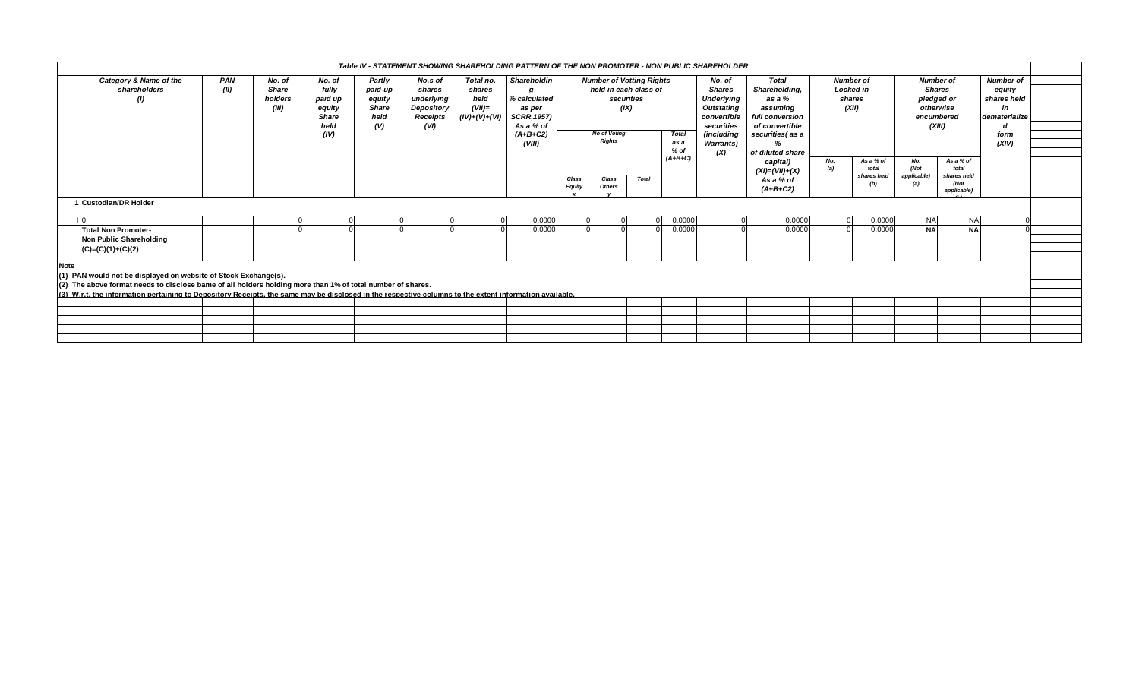|             |                                                                                                                                                                               |      |                         |                  |                   |                      |                | Table IV - STATEMENT SHOWING SHAREHOLDING PATTERN OF THE NON PROMOTER - NON PUBLIC SHAREHOLDER |                                     |                                      |              |                                    |                         |                                 |            |                             |             |                       |                  |  |
|-------------|-------------------------------------------------------------------------------------------------------------------------------------------------------------------------------|------|-------------------------|------------------|-------------------|----------------------|----------------|------------------------------------------------------------------------------------------------|-------------------------------------|--------------------------------------|--------------|------------------------------------|-------------------------|---------------------------------|------------|-----------------------------|-------------|-----------------------|------------------|--|
|             | Category & Name of the<br>PAN<br>Partly<br>No.s of<br>No. of<br>No. of                                                                                                        |      |                         |                  |                   |                      | Total no.      | Shareholdin                                                                                    |                                     | <b>Number of Votting Rights</b>      |              |                                    | No. of                  | <b>Total</b>                    |            | <b>Number of</b>            |             | <b>Number of</b>      | <b>Number of</b> |  |
|             | shareholders<br>$\omega$                                                                                                                                                      | (II) | <b>Share</b><br>holders | fully<br>paid up | paid-up<br>equity | shares<br>underlying | shares<br>held | % calculated                                                                                   | held in each class of<br>securities |                                      |              | <b>Shares</b><br><b>Underlying</b> | Shareholding,<br>as a % | <b>Locked</b> in<br>shares      |            | <b>Shares</b><br>pledged or |             | equity<br>shares held |                  |  |
|             |                                                                                                                                                                               |      | (III)                   | equity           | <b>Share</b>      | Depository           | $(VII)$ =      | as per                                                                                         |                                     |                                      | (IX)         |                                    | <b>Outstating</b>       | assuming                        |            | (XII)                       |             | otherwise             | in               |  |
|             |                                                                                                                                                                               |      |                         | <b>Share</b>     | held              | Receipts             | (IV)+(V)+(VI)  | <b>SCRR, 1957)</b>                                                                             |                                     |                                      |              |                                    | convertible             | full conversion                 |            |                             | encumbered  |                       | dematerialize    |  |
|             |                                                                                                                                                                               |      |                         | held             | (V)               | (VI)                 |                | As a % of                                                                                      |                                     | <b>No of Voting</b><br><b>Rights</b> |              |                                    | securities              | of convertible                  |            |                             | (XIII)      |                       | a                |  |
|             |                                                                                                                                                                               |      |                         | (IV)             |                   |                      |                | $(A+B+C2)$                                                                                     |                                     |                                      |              | <b>Total</b>                       | (including              | securities(as a                 |            |                             |             |                       | form             |  |
|             |                                                                                                                                                                               |      |                         |                  |                   |                      |                | (VIII)                                                                                         |                                     |                                      |              | as a                               | <b>Warrants</b> )       | %                               |            |                             |             |                       | (XIV)            |  |
|             |                                                                                                                                                                               |      |                         |                  |                   |                      |                |                                                                                                |                                     |                                      |              | $%$ of<br>$(A+B+C)$                | (X)                     | of diluted share                |            |                             |             |                       |                  |  |
|             |                                                                                                                                                                               |      |                         |                  |                   |                      |                |                                                                                                |                                     |                                      |              |                                    |                         | capital)                        | No.<br>(a) | As a $%$ of<br>total        | No.<br>(Not | As a % of<br>total    |                  |  |
|             |                                                                                                                                                                               |      |                         |                  |                   |                      |                |                                                                                                | Class                               | Class                                | <b>Total</b> |                                    |                         | $(XI) = (VII)+(X)$<br>As a % of |            | shares held                 | applicable) | shares held           |                  |  |
|             |                                                                                                                                                                               |      |                         |                  |                   |                      |                |                                                                                                | <b>Equity</b>                       | <b>Others</b>                        |              |                                    |                         | $(A+B+C2)$                      |            | (b)                         | (a)         | (Not<br>applicable)   |                  |  |
|             | <b>Custodian/DR Holder</b>                                                                                                                                                    |      |                         |                  |                   |                      |                |                                                                                                |                                     |                                      |              |                                    |                         |                                 |            |                             |             |                       |                  |  |
|             |                                                                                                                                                                               |      |                         |                  |                   |                      |                |                                                                                                |                                     |                                      |              |                                    |                         |                                 |            |                             |             |                       |                  |  |
|             |                                                                                                                                                                               |      |                         |                  |                   |                      |                | 0.0000                                                                                         |                                     |                                      |              | 0.0000                             |                         | 0.0000                          |            | 0.0000                      | <b>NA</b>   | <b>NA</b>             |                  |  |
|             | <b>Total Non Promoter-</b>                                                                                                                                                    |      |                         |                  |                   |                      |                | 0.0000                                                                                         |                                     |                                      |              | 0.0000                             |                         | 0.0000                          |            | 0.0000                      | <b>NA</b>   | <b>NA</b>             |                  |  |
|             | Non Public Shareholding                                                                                                                                                       |      |                         |                  |                   |                      |                |                                                                                                |                                     |                                      |              |                                    |                         |                                 |            |                             |             |                       |                  |  |
|             | $(C)=(C)(1)+(C)(2)$                                                                                                                                                           |      |                         |                  |                   |                      |                |                                                                                                |                                     |                                      |              |                                    |                         |                                 |            |                             |             |                       |                  |  |
|             |                                                                                                                                                                               |      |                         |                  |                   |                      |                |                                                                                                |                                     |                                      |              |                                    |                         |                                 |            |                             |             |                       |                  |  |
| <b>Note</b> |                                                                                                                                                                               |      |                         |                  |                   |                      |                |                                                                                                |                                     |                                      |              |                                    |                         |                                 |            |                             |             |                       |                  |  |
|             | (1) PAN would not be displayed on website of Stock Exchange(s).<br>(2) The above format needs to disclose bame of all holders holding more than 1% of total number of shares. |      |                         |                  |                   |                      |                |                                                                                                |                                     |                                      |              |                                    |                         |                                 |            |                             |             |                       |                  |  |
|             | (3) W.r.t. the information pertaining to Depository Receipts, the same may be disclosed in the respective columns to the extent information available.                        |      |                         |                  |                   |                      |                |                                                                                                |                                     |                                      |              |                                    |                         |                                 |            |                             |             |                       |                  |  |
|             |                                                                                                                                                                               |      |                         |                  |                   |                      |                |                                                                                                |                                     |                                      |              |                                    |                         |                                 |            |                             |             |                       |                  |  |
|             |                                                                                                                                                                               |      |                         |                  |                   |                      |                |                                                                                                |                                     |                                      |              |                                    |                         |                                 |            |                             |             |                       |                  |  |
|             |                                                                                                                                                                               |      |                         |                  |                   |                      |                |                                                                                                |                                     |                                      |              |                                    |                         |                                 |            |                             |             |                       |                  |  |
|             |                                                                                                                                                                               |      |                         |                  |                   |                      |                |                                                                                                |                                     |                                      |              |                                    |                         |                                 |            |                             |             |                       |                  |  |
|             |                                                                                                                                                                               |      |                         |                  |                   |                      |                |                                                                                                |                                     |                                      |              |                                    |                         |                                 |            |                             |             |                       |                  |  |